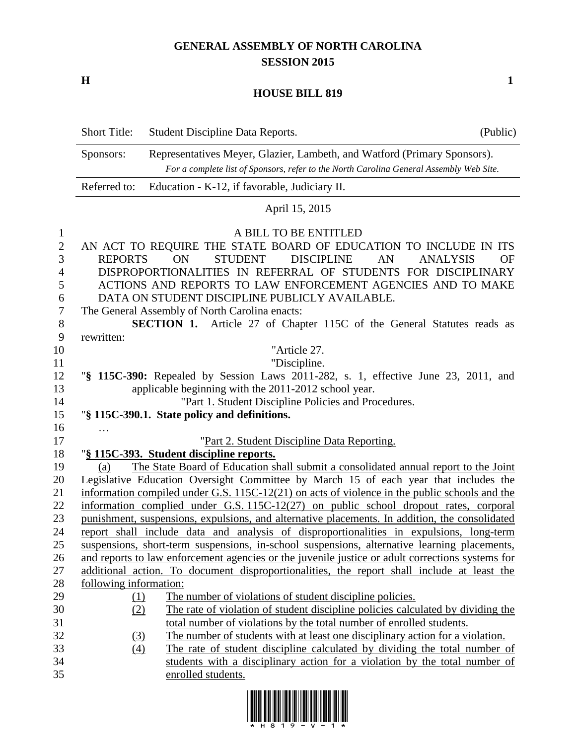## **GENERAL ASSEMBLY OF NORTH CAROLINA SESSION 2015**

**H 1**

## **HOUSE BILL 819**

|                                                                        | <b>Short Title:</b>                                                                                                                                                              | Student Discipline Data Reports.                                                                                                                                                                                                                                                                                                                                                                           | (Public) |  |  |
|------------------------------------------------------------------------|----------------------------------------------------------------------------------------------------------------------------------------------------------------------------------|------------------------------------------------------------------------------------------------------------------------------------------------------------------------------------------------------------------------------------------------------------------------------------------------------------------------------------------------------------------------------------------------------------|----------|--|--|
|                                                                        | Representatives Meyer, Glazier, Lambeth, and Watford (Primary Sponsors).<br>Sponsors:<br>For a complete list of Sponsors, refer to the North Carolina General Assembly Web Site. |                                                                                                                                                                                                                                                                                                                                                                                                            |          |  |  |
|                                                                        | Referred to:                                                                                                                                                                     | Education - K-12, if favorable, Judiciary II.                                                                                                                                                                                                                                                                                                                                                              |          |  |  |
|                                                                        |                                                                                                                                                                                  | April 15, 2015                                                                                                                                                                                                                                                                                                                                                                                             |          |  |  |
| $\mathbf{1}$<br>$\overline{2}$<br>3<br>4<br>5<br>6<br>$\boldsymbol{7}$ | <b>REPORTS</b>                                                                                                                                                                   | A BILL TO BE ENTITLED<br>AN ACT TO REQUIRE THE STATE BOARD OF EDUCATION TO INCLUDE IN ITS<br><b>ON</b><br><b>STUDENT</b><br><b>DISCIPLINE</b><br>AN<br><b>ANALYSIS</b><br>DISPROPORTIONALITIES IN REFERRAL OF STUDENTS FOR DISCIPLINARY<br>ACTIONS AND REPORTS TO LAW ENFORCEMENT AGENCIES AND TO MAKE<br>DATA ON STUDENT DISCIPLINE PUBLICLY AVAILABLE.<br>The General Assembly of North Carolina enacts: | OF       |  |  |
| 8                                                                      |                                                                                                                                                                                  | <b>SECTION 1.</b> Article 27 of Chapter 115C of the General Statutes reads as                                                                                                                                                                                                                                                                                                                              |          |  |  |
| 9<br>10                                                                | rewritten:                                                                                                                                                                       | "Article 27.                                                                                                                                                                                                                                                                                                                                                                                               |          |  |  |
| 11                                                                     |                                                                                                                                                                                  | "Discipline.                                                                                                                                                                                                                                                                                                                                                                                               |          |  |  |
| 12                                                                     | "§ 115C-390: Repealed by Session Laws 2011-282, s. 1, effective June 23, 2011, and                                                                                               |                                                                                                                                                                                                                                                                                                                                                                                                            |          |  |  |
| 13                                                                     |                                                                                                                                                                                  | applicable beginning with the 2011-2012 school year.                                                                                                                                                                                                                                                                                                                                                       |          |  |  |
| 14<br>15                                                               |                                                                                                                                                                                  | "Part 1. Student Discipline Policies and Procedures.                                                                                                                                                                                                                                                                                                                                                       |          |  |  |
| 16                                                                     |                                                                                                                                                                                  | "§ 115C-390.1. State policy and definitions.                                                                                                                                                                                                                                                                                                                                                               |          |  |  |
| 17                                                                     | $\cdots$                                                                                                                                                                         | "Part 2. Student Discipline Data Reporting.                                                                                                                                                                                                                                                                                                                                                                |          |  |  |
| 18                                                                     |                                                                                                                                                                                  | "§ 115C-393. Student discipline reports.                                                                                                                                                                                                                                                                                                                                                                   |          |  |  |
| 19                                                                     | (a)                                                                                                                                                                              | The State Board of Education shall submit a consolidated annual report to the Joint                                                                                                                                                                                                                                                                                                                        |          |  |  |
| 20                                                                     |                                                                                                                                                                                  | Legislative Education Oversight Committee by March 15 of each year that includes the                                                                                                                                                                                                                                                                                                                       |          |  |  |
| 21                                                                     | information compiled under G.S. $115C-12(21)$ on acts of violence in the public schools and the                                                                                  |                                                                                                                                                                                                                                                                                                                                                                                                            |          |  |  |
| 22                                                                     | information complied under G.S. 115C-12(27) on public school dropout rates, corporal                                                                                             |                                                                                                                                                                                                                                                                                                                                                                                                            |          |  |  |
| 23                                                                     | punishment, suspensions, expulsions, and alternative placements. In addition, the consolidated                                                                                   |                                                                                                                                                                                                                                                                                                                                                                                                            |          |  |  |
| 24                                                                     |                                                                                                                                                                                  | report shall include data and analysis of disproportionalities in expulsions, long-term                                                                                                                                                                                                                                                                                                                    |          |  |  |
| $25\,$                                                                 |                                                                                                                                                                                  | suspensions, short-term suspensions, in-school suspensions, alternative learning placements,                                                                                                                                                                                                                                                                                                               |          |  |  |
| 26<br>27                                                               |                                                                                                                                                                                  | and reports to law enforcement agencies or the juvenile justice or adult corrections systems for<br>additional action. To document disproportionalities, the report shall include at least the                                                                                                                                                                                                             |          |  |  |
| 28                                                                     | following information:                                                                                                                                                           |                                                                                                                                                                                                                                                                                                                                                                                                            |          |  |  |
| 29                                                                     | (1)                                                                                                                                                                              | The number of violations of student discipline policies.                                                                                                                                                                                                                                                                                                                                                   |          |  |  |
| 30                                                                     | (2)                                                                                                                                                                              | The rate of violation of student discipline policies calculated by dividing the                                                                                                                                                                                                                                                                                                                            |          |  |  |
| 31                                                                     |                                                                                                                                                                                  | total number of violations by the total number of enrolled students.                                                                                                                                                                                                                                                                                                                                       |          |  |  |
| 32                                                                     | (3)                                                                                                                                                                              | The number of students with at least one disciplinary action for a violation.                                                                                                                                                                                                                                                                                                                              |          |  |  |
| 33                                                                     | (4)                                                                                                                                                                              | The rate of student discipline calculated by dividing the total number of                                                                                                                                                                                                                                                                                                                                  |          |  |  |
| 34                                                                     |                                                                                                                                                                                  | students with a disciplinary action for a violation by the total number of                                                                                                                                                                                                                                                                                                                                 |          |  |  |
| 35                                                                     |                                                                                                                                                                                  | enrolled students.                                                                                                                                                                                                                                                                                                                                                                                         |          |  |  |

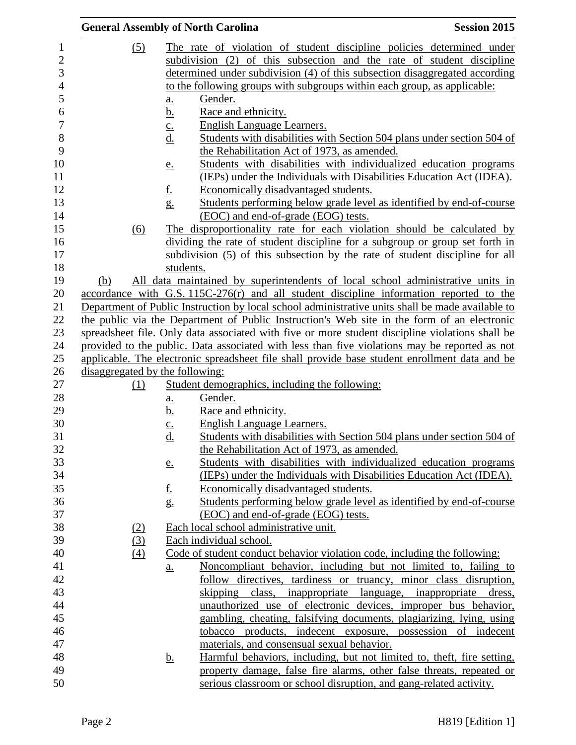|                     | <b>General Assembly of North Carolina</b><br><b>Session 2015</b>                                 |                   |                                                                                                                                                |  |  |
|---------------------|--------------------------------------------------------------------------------------------------|-------------------|------------------------------------------------------------------------------------------------------------------------------------------------|--|--|
| 1<br>$\overline{c}$ | (5)                                                                                              |                   | The rate of violation of student discipline policies determined under<br>subdivision (2) of this subsection and the rate of student discipline |  |  |
| 3                   |                                                                                                  |                   | determined under subdivision (4) of this subsection disaggregated according                                                                    |  |  |
| $\overline{4}$      |                                                                                                  |                   | to the following groups with subgroups within each group, as applicable:                                                                       |  |  |
| 5                   |                                                                                                  | $\underline{a}$ . | Gender.                                                                                                                                        |  |  |
| 6                   |                                                                                                  | <u>b.</u>         | Race and ethnicity.                                                                                                                            |  |  |
| $\overline{7}$      |                                                                                                  | $\underline{c}$ . | English Language Learners.                                                                                                                     |  |  |
| $\,8\,$             |                                                                                                  | <u>d.</u>         | Students with disabilities with Section 504 plans under section 504 of                                                                         |  |  |
| 9                   |                                                                                                  |                   | the Rehabilitation Act of 1973, as amended.                                                                                                    |  |  |
| 10                  |                                                                                                  | <u>e.</u>         | Students with disabilities with individualized education programs                                                                              |  |  |
| 11                  |                                                                                                  |                   | (IEPs) under the Individuals with Disabilities Education Act (IDEA).                                                                           |  |  |
| 12                  |                                                                                                  | <u>f.</u>         | Economically disadvantaged students.                                                                                                           |  |  |
| 13                  |                                                                                                  | $g_{\cdot}$       | Students performing below grade level as identified by end-of-course                                                                           |  |  |
| 14                  |                                                                                                  |                   | (EOC) and end-of-grade (EOG) tests.                                                                                                            |  |  |
| 15                  | (6)                                                                                              |                   | The disproportionality rate for each violation should be calculated by                                                                         |  |  |
| 16                  |                                                                                                  |                   | dividing the rate of student discipline for a subgroup or group set forth in                                                                   |  |  |
| 17                  |                                                                                                  |                   | subdivision (5) of this subsection by the rate of student discipline for all                                                                   |  |  |
| 18                  |                                                                                                  | students.         |                                                                                                                                                |  |  |
| 19                  | (b)                                                                                              |                   | All data maintained by superintendents of local school administrative units in                                                                 |  |  |
| 20                  |                                                                                                  |                   | accordance with G.S. 115C-276(r) and all student discipline information reported to the                                                        |  |  |
| 21                  | Department of Public Instruction by local school administrative units shall be made available to |                   |                                                                                                                                                |  |  |
| 22                  | the public via the Department of Public Instruction's Web site in the form of an electronic      |                   |                                                                                                                                                |  |  |
| 23                  |                                                                                                  |                   | spreadsheet file. Only data associated with five or more student discipline violations shall be                                                |  |  |
| 24                  |                                                                                                  |                   | provided to the public. Data associated with less than five violations may be reported as not                                                  |  |  |
| 25                  |                                                                                                  |                   | applicable. The electronic spreadsheet file shall provide base student enrollment data and be                                                  |  |  |
| 26                  | disaggregated by the following:                                                                  |                   |                                                                                                                                                |  |  |
| 27                  | (1)                                                                                              |                   | Student demographics, including the following:                                                                                                 |  |  |
| 28                  |                                                                                                  | <u>a.</u>         | Gender.                                                                                                                                        |  |  |
| 29                  |                                                                                                  | <u>b.</u>         | Race and ethnicity.                                                                                                                            |  |  |
| 30                  |                                                                                                  | $\frac{c}{d}$     | <b>English Language Learners.</b>                                                                                                              |  |  |
| 31                  |                                                                                                  |                   | Students with disabilities with Section 504 plans under section 504 of                                                                         |  |  |
| 32                  |                                                                                                  |                   | the Rehabilitation Act of 1973, as amended.                                                                                                    |  |  |
| 33                  |                                                                                                  | e.                | Students with disabilities with individualized education programs                                                                              |  |  |
| 34                  |                                                                                                  |                   | (IEPs) under the Individuals with Disabilities Education Act (IDEA).                                                                           |  |  |
| 35                  |                                                                                                  | <u>f.</u>         | Economically disadvantaged students.                                                                                                           |  |  |
| 36                  |                                                                                                  | g.                | Students performing below grade level as identified by end-of-course                                                                           |  |  |
| 37                  |                                                                                                  |                   | (EOC) and end-of-grade (EOG) tests.                                                                                                            |  |  |
| 38                  | (2)                                                                                              |                   | Each local school administrative unit.                                                                                                         |  |  |
| 39                  | (3)                                                                                              |                   | Each individual school.                                                                                                                        |  |  |
| 40                  | (4)                                                                                              |                   | Code of student conduct behavior violation code, including the following:                                                                      |  |  |
| 41                  |                                                                                                  | a.                | Noncompliant behavior, including but not limited to, failing to                                                                                |  |  |
| 42                  |                                                                                                  |                   | follow directives, tardiness or truancy, minor class disruption,                                                                               |  |  |
| 43                  |                                                                                                  |                   | skipping class, inappropriate language, inappropriate dress,                                                                                   |  |  |
| 44                  |                                                                                                  |                   | unauthorized use of electronic devices, improper bus behavior,                                                                                 |  |  |
| 45                  |                                                                                                  |                   | gambling, cheating, falsifying documents, plagiarizing, lying, using                                                                           |  |  |
| 46                  |                                                                                                  |                   | tobacco products, indecent exposure, possession of indecent                                                                                    |  |  |
| 47                  |                                                                                                  |                   | materials, and consensual sexual behavior.                                                                                                     |  |  |
| 48                  |                                                                                                  | <u>b.</u>         | Harmful behaviors, including, but not limited to, theft, fire setting,                                                                         |  |  |
| 49                  |                                                                                                  |                   | property damage, false fire alarms, other false threats, repeated or                                                                           |  |  |
| 50                  |                                                                                                  |                   | serious classroom or school disruption, and gang-related activity.                                                                             |  |  |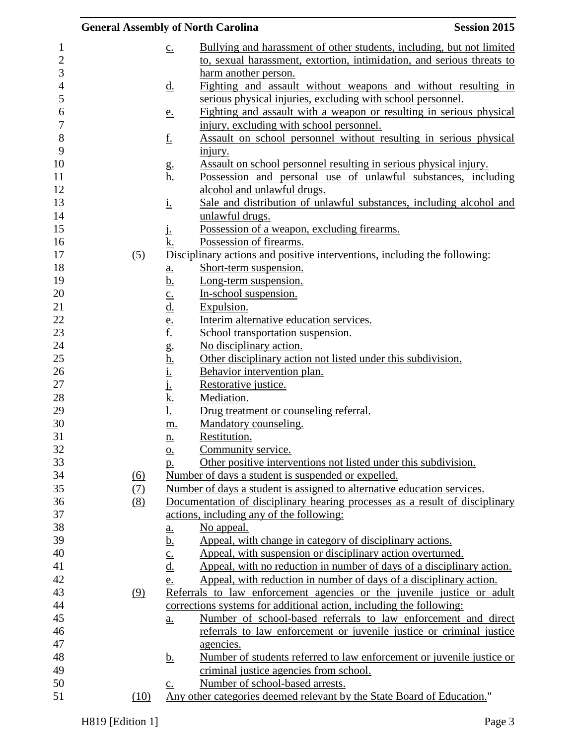| <b>General Assembly of North Carolina</b> |                                                                                                                                                                                                                                              |                                                                                    | <b>Session 2015</b> |
|-------------------------------------------|----------------------------------------------------------------------------------------------------------------------------------------------------------------------------------------------------------------------------------------------|------------------------------------------------------------------------------------|---------------------|
|                                           | $\underline{c}$ .                                                                                                                                                                                                                            | Bullying and harassment of other students, including, but not limited              |                     |
|                                           |                                                                                                                                                                                                                                              | to, sexual harassment, extortion, intimidation, and serious threats to             |                     |
|                                           |                                                                                                                                                                                                                                              | harm another person.                                                               |                     |
|                                           | <u>d.</u>                                                                                                                                                                                                                                    | Fighting and assault without weapons and without resulting in                      |                     |
|                                           |                                                                                                                                                                                                                                              | serious physical injuries, excluding with school personnel.                        |                     |
|                                           | e.                                                                                                                                                                                                                                           | Fighting and assault with a weapon or resulting in serious physical                |                     |
|                                           |                                                                                                                                                                                                                                              | injury, excluding with school personnel.                                           |                     |
|                                           | <u>f.</u>                                                                                                                                                                                                                                    | Assault on school personnel without resulting in serious physical                  |                     |
|                                           |                                                                                                                                                                                                                                              | <u>injury.</u>                                                                     |                     |
|                                           | g.                                                                                                                                                                                                                                           | Assault on school personnel resulting in serious physical injury.                  |                     |
|                                           | <u>h.</u>                                                                                                                                                                                                                                    | Possession and personal use of unlawful substances, including                      |                     |
|                                           |                                                                                                                                                                                                                                              | alcohol and unlawful drugs.                                                        |                     |
|                                           | <u>i.</u>                                                                                                                                                                                                                                    | Sale and distribution of unlawful substances, including alcohol and                |                     |
|                                           |                                                                                                                                                                                                                                              | unlawful drugs.                                                                    |                     |
|                                           | Ŀ                                                                                                                                                                                                                                            | Possession of a weapon, excluding firearms.                                        |                     |
|                                           | <u>k.</u>                                                                                                                                                                                                                                    | Possession of firearms.                                                            |                     |
| (5)                                       |                                                                                                                                                                                                                                              | Disciplinary actions and positive interventions, including the following:          |                     |
|                                           | a.                                                                                                                                                                                                                                           | Short-term suspension.                                                             |                     |
|                                           | <u>b.</u>                                                                                                                                                                                                                                    | Long-term suspension.                                                              |                     |
|                                           | $\frac{c}{d}$                                                                                                                                                                                                                                | In-school suspension.                                                              |                     |
|                                           |                                                                                                                                                                                                                                              | Expulsion.                                                                         |                     |
|                                           |                                                                                                                                                                                                                                              | Interim alternative education services.                                            |                     |
|                                           |                                                                                                                                                                                                                                              | School transportation suspension.<br>No disciplinary action.                       |                     |
|                                           |                                                                                                                                                                                                                                              | Other disciplinary action not listed under this subdivision.                       |                     |
|                                           | $\underline{\mathbf{f}}$ .<br>$\underline{\mathbf{f}}$ .<br>$\underline{\mathbf{g}}$ .<br>$\underline{\mathbf{h}}$ .<br>$\underline{\mathbf{h}}$ .<br>$\underline{\mathbf{i}}$ .<br>$\underline{\mathbf{j}}$ .<br>$\underline{\mathbf{k}}$ . | Behavior intervention plan.                                                        |                     |
|                                           |                                                                                                                                                                                                                                              | Restorative justice.                                                               |                     |
|                                           |                                                                                                                                                                                                                                              | Mediation.                                                                         |                     |
|                                           | $\underline{\mathbf{l}}$ .                                                                                                                                                                                                                   | Drug treatment or counseling referral.                                             |                     |
|                                           | m.                                                                                                                                                                                                                                           | Mandatory counseling.                                                              |                     |
|                                           | n.                                                                                                                                                                                                                                           | Restitution.                                                                       |                     |
|                                           | <u>0.</u>                                                                                                                                                                                                                                    | Community service.                                                                 |                     |
|                                           | <u>p.</u>                                                                                                                                                                                                                                    | Other positive interventions not listed under this subdivision.                    |                     |
| (6)                                       |                                                                                                                                                                                                                                              | Number of days a student is suspended or expelled.                                 |                     |
| (7)                                       |                                                                                                                                                                                                                                              | Number of days a student is assigned to alternative education services.            |                     |
| (8)                                       |                                                                                                                                                                                                                                              | Documentation of disciplinary hearing processes as a result of disciplinary        |                     |
|                                           |                                                                                                                                                                                                                                              | actions, including any of the following:                                           |                     |
|                                           | $\underline{a}$ .                                                                                                                                                                                                                            | No appeal.                                                                         |                     |
|                                           | <u>b.</u>                                                                                                                                                                                                                                    | Appeal, with change in category of disciplinary actions.                           |                     |
|                                           | $\frac{c}{d}$                                                                                                                                                                                                                                | Appeal, with suspension or disciplinary action overturned.                         |                     |
|                                           |                                                                                                                                                                                                                                              | Appeal, with no reduction in number of days of a disciplinary action.              |                     |
|                                           | e.                                                                                                                                                                                                                                           | Appeal, with reduction in number of days of a disciplinary action.                 |                     |
| (9)                                       |                                                                                                                                                                                                                                              | Referrals to law enforcement agencies or the juvenile justice or adult             |                     |
|                                           |                                                                                                                                                                                                                                              | corrections systems for additional action, including the following:                |                     |
|                                           | a.                                                                                                                                                                                                                                           | Number of school-based referrals to law enforcement and direct                     |                     |
|                                           |                                                                                                                                                                                                                                              | referrals to law enforcement or juvenile justice or criminal justice               |                     |
|                                           |                                                                                                                                                                                                                                              | agencies.<br>Number of students referred to law enforcement or juvenile justice or |                     |
|                                           | <u>b.</u>                                                                                                                                                                                                                                    | criminal justice agencies from school.                                             |                     |
|                                           |                                                                                                                                                                                                                                              | Number of school-based arrests.                                                    |                     |
| (10)                                      | $\underline{c}$ .                                                                                                                                                                                                                            | Any other categories deemed relevant by the State Board of Education."             |                     |
|                                           |                                                                                                                                                                                                                                              |                                                                                    |                     |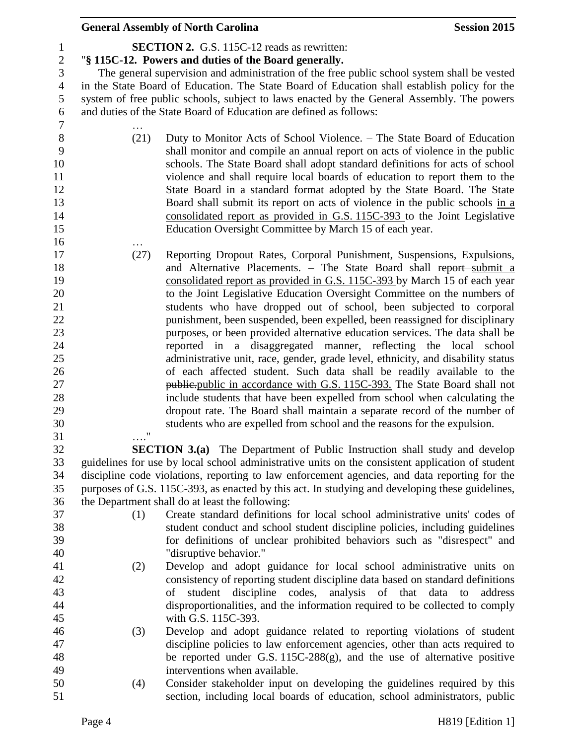|                                            |                   | <b>General Assembly of North Carolina</b>                                                                                                                                                                                                                                                                                                                       | <b>Session 2015</b>                 |
|--------------------------------------------|-------------------|-----------------------------------------------------------------------------------------------------------------------------------------------------------------------------------------------------------------------------------------------------------------------------------------------------------------------------------------------------------------|-------------------------------------|
| $\mathbf{1}$<br>$\sqrt{2}$                 |                   | <b>SECTION 2.</b> G.S. 115C-12 reads as rewritten:<br>"§ 115C-12. Powers and duties of the Board generally.                                                                                                                                                                                                                                                     |                                     |
| $\mathfrak{Z}$<br>$\overline{4}$<br>5<br>6 |                   | The general supervision and administration of the free public school system shall be vested<br>in the State Board of Education. The State Board of Education shall establish policy for the<br>system of free public schools, subject to laws enacted by the General Assembly. The powers<br>and duties of the State Board of Education are defined as follows: |                                     |
| $\tau$                                     |                   |                                                                                                                                                                                                                                                                                                                                                                 |                                     |
| $\,8\,$<br>9<br>10                         | (21)              | Duty to Monitor Acts of School Violence. - The State Board of Education<br>shall monitor and compile an annual report on acts of violence in the public<br>schools. The State Board shall adopt standard definitions for acts of school                                                                                                                         |                                     |
| 11<br>12<br>13<br>14                       |                   | violence and shall require local boards of education to report them to the<br>State Board in a standard format adopted by the State Board. The State<br>Board shall submit its report on acts of violence in the public schools in a<br>consolidated report as provided in G.S. 115C-393 to the Joint Legislative                                               |                                     |
| 15<br>16                                   |                   | Education Oversight Committee by March 15 of each year.                                                                                                                                                                                                                                                                                                         |                                     |
| 17                                         | (27)              | Reporting Dropout Rates, Corporal Punishment, Suspensions, Expulsions,                                                                                                                                                                                                                                                                                          |                                     |
| 18<br>19                                   |                   | and Alternative Placements. - The State Board shall report-submit a<br>consolidated report as provided in G.S. 115C-393 by March 15 of each year                                                                                                                                                                                                                |                                     |
| 20<br>21                                   |                   | to the Joint Legislative Education Oversight Committee on the numbers of<br>students who have dropped out of school, been subjected to corporal                                                                                                                                                                                                                 |                                     |
| 22                                         |                   | punishment, been suspended, been expelled, been reassigned for disciplinary                                                                                                                                                                                                                                                                                     |                                     |
| 23                                         |                   | purposes, or been provided alternative education services. The data shall be                                                                                                                                                                                                                                                                                    |                                     |
| 24                                         |                   | reported in a disaggregated manner, reflecting the local school                                                                                                                                                                                                                                                                                                 |                                     |
| 25                                         |                   | administrative unit, race, gender, grade level, ethnicity, and disability status                                                                                                                                                                                                                                                                                |                                     |
| 26                                         |                   | of each affected student. Such data shall be readily available to the                                                                                                                                                                                                                                                                                           |                                     |
| 27                                         |                   | <i>public-public in accordance with G.S. 115C-393.</i> The State Board shall not                                                                                                                                                                                                                                                                                |                                     |
| 28                                         |                   | include students that have been expelled from school when calculating the                                                                                                                                                                                                                                                                                       |                                     |
| 29                                         |                   | dropout rate. The Board shall maintain a separate record of the number of                                                                                                                                                                                                                                                                                       |                                     |
| 30<br>31                                   | $^{\prime\prime}$ | students who are expelled from school and the reasons for the expulsion.                                                                                                                                                                                                                                                                                        |                                     |
| 32                                         |                   | <b>SECTION 3.(a)</b> The Department of Public Instruction shall study and develop                                                                                                                                                                                                                                                                               |                                     |
| 33                                         |                   | guidelines for use by local school administrative units on the consistent application of student                                                                                                                                                                                                                                                                |                                     |
| 34                                         |                   | discipline code violations, reporting to law enforcement agencies, and data reporting for the                                                                                                                                                                                                                                                                   |                                     |
| 35                                         |                   | purposes of G.S. 115C-393, as enacted by this act. In studying and developing these guidelines,                                                                                                                                                                                                                                                                 |                                     |
| 36                                         |                   | the Department shall do at least the following:                                                                                                                                                                                                                                                                                                                 |                                     |
| 37                                         | (1)               | Create standard definitions for local school administrative units' codes of                                                                                                                                                                                                                                                                                     |                                     |
| 38                                         |                   | student conduct and school student discipline policies, including guidelines                                                                                                                                                                                                                                                                                    |                                     |
| 39                                         |                   | for definitions of unclear prohibited behaviors such as "disrespect" and                                                                                                                                                                                                                                                                                        |                                     |
| 40                                         |                   | "disruptive behavior."                                                                                                                                                                                                                                                                                                                                          |                                     |
| 41                                         | (2)               | Develop and adopt guidance for local school administrative units on                                                                                                                                                                                                                                                                                             |                                     |
| 42                                         |                   | consistency of reporting student discipline data based on standard definitions                                                                                                                                                                                                                                                                                  |                                     |
| 43                                         |                   | student<br>discipline codes,<br>of                                                                                                                                                                                                                                                                                                                              | analysis of that data to<br>address |
| 44<br>45                                   |                   | disproportionalities, and the information required to be collected to comply<br>with G.S. 115C-393.                                                                                                                                                                                                                                                             |                                     |
| 46                                         | (3)               | Develop and adopt guidance related to reporting violations of student                                                                                                                                                                                                                                                                                           |                                     |
| 47                                         |                   | discipline policies to law enforcement agencies, other than acts required to                                                                                                                                                                                                                                                                                    |                                     |
| 48                                         |                   | be reported under G.S. 115C-288(g), and the use of alternative positive                                                                                                                                                                                                                                                                                         |                                     |
| 49                                         |                   | interventions when available.                                                                                                                                                                                                                                                                                                                                   |                                     |
| 50                                         | (4)               | Consider stakeholder input on developing the guidelines required by this                                                                                                                                                                                                                                                                                        |                                     |
| 51                                         |                   | section, including local boards of education, school administrators, public                                                                                                                                                                                                                                                                                     |                                     |